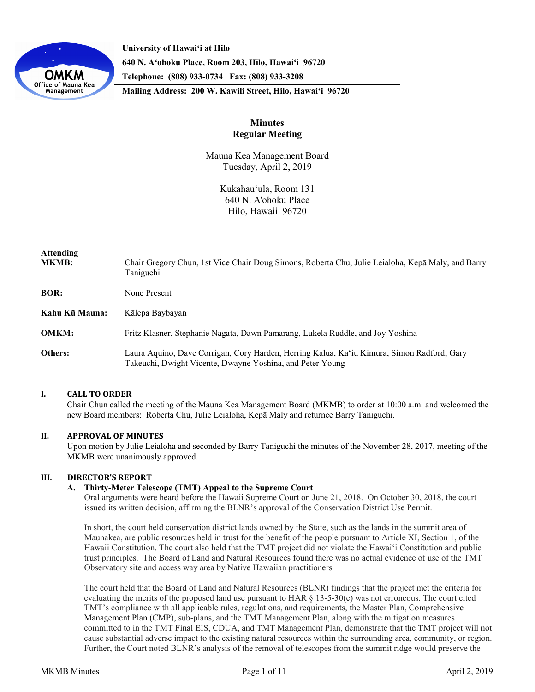

**University of Hawaiʻi at Hilo 640 N. A'ohoku Place, Room 203, Hilo, Hawai'i 96720 Telephone: (808) 933-0734 Fax: (808) 933-3208**

**Mailing Address: 200 W. Kawili Street, Hilo, Hawai'i 96720**

# **Minutes Regular Meeting**

Mauna Kea Management Board Tuesday, April 2, 2019

> Kukahauʻula, Room 131 640 N. A'ohoku Place Hilo, Hawaii 96720

| Attending<br>MKMB: | Chair Gregory Chun, 1st Vice Chair Doug Simons, Roberta Chu, Julie Leialoha, Kepā Maly, and Barry<br>Taniguchi                                          |
|--------------------|---------------------------------------------------------------------------------------------------------------------------------------------------------|
| <b>BOR:</b>        | None Present                                                                                                                                            |
| Kahu Kū Mauna:     | Kālepa Baybayan                                                                                                                                         |
| <b>OMKM:</b>       | Fritz Klasner, Stephanie Nagata, Dawn Pamarang, Lukela Ruddle, and Joy Yoshina                                                                          |
| Others:            | Laura Aquino, Dave Corrigan, Cory Harden, Herring Kalua, Ka'iu Kimura, Simon Radford, Gary<br>Takeuchi, Dwight Vicente, Dwayne Yoshina, and Peter Young |

## **I. CALL TO ORDER**

Chair Chun called the meeting of the Mauna Kea Management Board (MKMB) to order at 10:00 a.m. and welcomed the new Board members: Roberta Chu, Julie Leialoha, Kepā Maly and returnee Barry Taniguchi.

## **II. APPROVAL OF MINUTES**

Upon motion by Julie Leialoha and seconded by Barry Taniguchi the minutes of the November 28, 2017, meeting of the MKMB were unanimously approved.

## **III. DIRECTOR'S REPORT**

### **A. Thirty-Meter Telescope (TMT) Appeal to the Supreme Court**

Oral arguments were heard before the Hawaii Supreme Court on June 21, 2018. On October 30, 2018, the court issued its written decision, affirming the BLNR's approval of the Conservation District Use Permit.

In short, the court held conservation district lands owned by the State, such as the lands in the summit area of Maunakea, are public resources held in trust for the benefit of the people pursuant to Article XI, Section 1, of the Hawaii Constitution. The court also held that the TMT project did not violate the Hawai'i Constitution and public trust principles. The Board of Land and Natural Resources found there was no actual evidence of use of the TMT Observatory site and access way area by Native Hawaiian practitioners

The court held that the Board of Land and Natural Resources (BLNR) findings that the project met the criteria for evaluating the merits of the proposed land use pursuant to HAR  $\S$  13-5-30(c) was not erroneous. The court cited TMT's compliance with all applicable rules, regulations, and requirements, the Master Plan, Comprehensive Management Plan (CMP), sub-plans, and the TMT Management Plan, along with the mitigation measures committed to in the TMT Final EIS, CDUA, and TMT Management Plan, demonstrate that the TMT project will not cause substantial adverse impact to the existing natural resources within the surrounding area, community, or region. Further, the Court noted BLNR's analysis of the removal of telescopes from the summit ridge would preserve the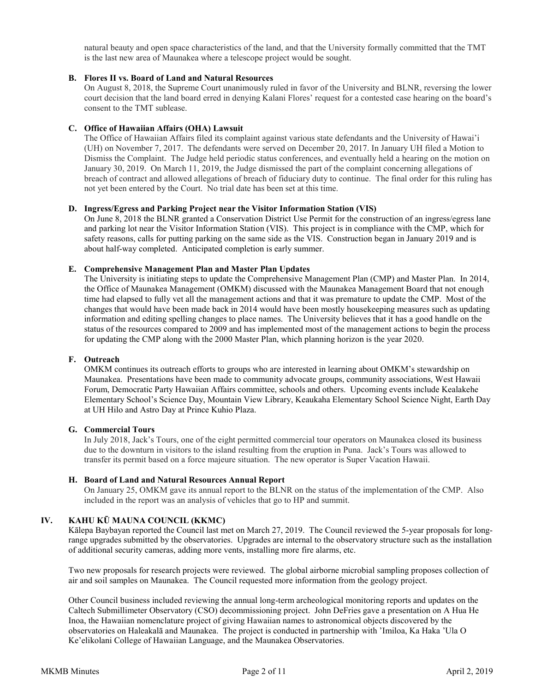natural beauty and open space characteristics of the land, and that the University formally committed that the TMT is the last new area of Maunakea where a telescope project would be sought.

## **B. Flores II vs. Board of Land and Natural Resources**

On August 8, 2018, the Supreme Court unanimously ruled in favor of the University and BLNR, reversing the lower court decision that the land board erred in denying Kalani Flores' request for a contested case hearing on the board's consent to the TMT sublease.

## **C. Office of Hawaiian Affairs (OHA) Lawsuit**

The Office of Hawaiian Affairs filed its complaint against various state defendants and the University of Hawai'i (UH) on November 7, 2017. The defendants were served on December 20, 2017. In January UH filed a Motion to Dismiss the Complaint. The Judge held periodic status conferences, and eventually held a hearing on the motion on January 30, 2019. On March 11, 2019, the Judge dismissed the part of the complaint concerning allegations of breach of contract and allowed allegations of breach of fiduciary duty to continue. The final order for this ruling has not yet been entered by the Court. No trial date has been set at this time.

### **D. Ingress/Egress and Parking Project near the Visitor Information Station (VIS)**

On June 8, 2018 the BLNR granted a Conservation District Use Permit for the construction of an ingress/egress lane and parking lot near the Visitor Information Station (VIS). This project is in compliance with the CMP, which for safety reasons, calls for putting parking on the same side as the VIS. Construction began in January 2019 and is about half-way completed. Anticipated completion is early summer.

### **E. Comprehensive Management Plan and Master Plan Updates**

The University is initiating steps to update the Comprehensive Management Plan (CMP) and Master Plan. In 2014, the Office of Maunakea Management (OMKM) discussed with the Maunakea Management Board that not enough time had elapsed to fully vet all the management actions and that it was premature to update the CMP. Most of the changes that would have been made back in 2014 would have been mostly housekeeping measures such as updating information and editing spelling changes to place names. The University believes that it has a good handle on the status of the resources compared to 2009 and has implemented most of the management actions to begin the process for updating the CMP along with the 2000 Master Plan, which planning horizon is the year 2020.

## **F. Outreach**

OMKM continues its outreach efforts to groups who are interested in learning about OMKM's stewardship on Maunakea. Presentations have been made to community advocate groups, community associations, West Hawaii Forum, Democratic Party Hawaiian Affairs committee, schools and others. Upcoming events include Kealakehe Elementary School's Science Day, Mountain View Library, Keaukaha Elementary School Science Night, Earth Day at UH Hilo and Astro Day at Prince Kuhio Plaza.

### **G. Commercial Tours**

In July 2018, Jack's Tours, one of the eight permitted commercial tour operators on Maunakea closed its business due to the downturn in visitors to the island resulting from the eruption in Puna. Jack's Tours was allowed to transfer its permit based on a force majeure situation. The new operator is Super Vacation Hawaii.

### **H. Board of Land and Natural Resources Annual Report**

On January 25, OMKM gave its annual report to the BLNR on the status of the implementation of the CMP. Also included in the report was an analysis of vehicles that go to HP and summit.

## **IV. KAHU KŪ MAUNA COUNCIL (KKMC)**

Kālepa Baybayan reported the Council last met on March 27, 2019. The Council reviewed the 5-year proposals for longrange upgrades submitted by the observatories. Upgrades are internal to the observatory structure such as the installation of additional security cameras, adding more vents, installing more fire alarms, etc.

Two new proposals for research projects were reviewed. The global airborne microbial sampling proposes collection of air and soil samples on Maunakea. The Council requested more information from the geology project.

Other Council business included reviewing the annual long-term archeological monitoring reports and updates on the Caltech Submillimeter Observatory (CSO) decommissioning project. John DeFries gave a presentation on A Hua He Inoa, the Hawaiian nomenclature project of giving Hawaiian names to astronomical objects discovered by the observatories on Haleakalā and Maunakea. The project is conducted in partnership with 'Imiloa, Ka Haka 'Ula O Ke'elikolani College of Hawaiian Language, and the Maunakea Observatories.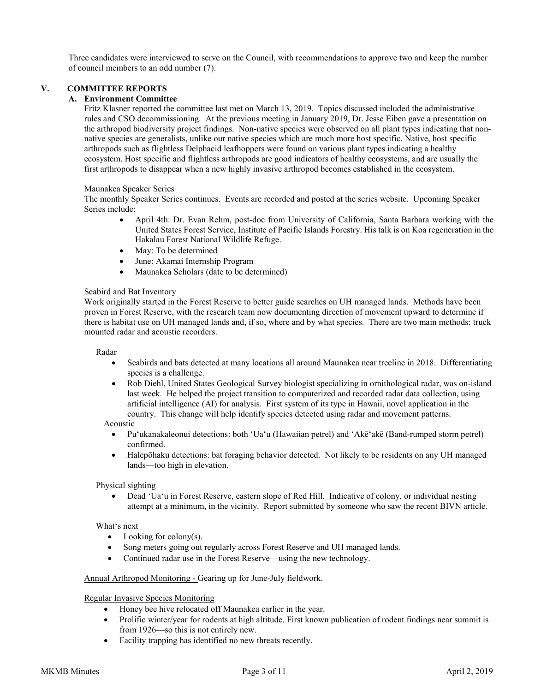Three candidates were interviewed to serve on the Council, with recommendations to approve two and keep the number of council members to an odd number (7).

## **V. COMMITTEE REPORTS**

## **A. Environment Committee**

Fritz Klasner reported the committee last met on March 13, 2019. Topics discussed included the administrative rules and CSO decommissioning. At the previous meeting in January 2019, Dr. Jesse Eiben gave a presentation on the arthropod biodiversity project findings. Non-native species were observed on all plant types indicating that nonnative species are generalists, unlike our native species which are much more host specific. Native, host specific arthropods such as flightless Delphacid leafhoppers were found on various plant types indicating a healthy ecosystem. Host specific and flightless arthropods are good indicators of healthy ecosystems, and are usually the first arthropods to disappear when a new highly invasive arthropod becomes established in the ecosystem.

### Maunakea Speaker Series

The monthly Speaker Series continues. Events are recorded and posted at the series website. Upcoming Speaker Series include:

- April 4th: Dr. Evan Rehm, post-doc from University of California, Santa Barbara working with the United States Forest Service, Institute of Pacific Islands Forestry. His talk is on Koa regeneration in the Hakalau Forest National Wildlife Refuge.
- May: To be determined
- June: Akamai Internship Program
- Maunakea Scholars (date to be determined)

### Seabird and Bat Inventory

Work originally started in the Forest Reserve to better guide searches on UH managed lands. Methods have been proven in Forest Reserve, with the research team now documenting direction of movement upward to determine if there is habitat use on UH managed lands and, if so, where and by what species. There are two main methods: truck mounted radar and acoustic recorders.

### Radar

- Seabirds and bats detected at many locations all around Maunakea near treeline in 2018. Differentiating species is a challenge.
- Rob Diehl, United States Geological Survey biologist specializing in ornithological radar, was on-island last week. He helped the project transition to computerized and recorded radar data collection, using artificial intelligence (AI) for analysis. First system of its type in Hawaii, novel application in the country. This change will help identify species detected using radar and movement patterns.

### Acoustic

- Puʻukanakaleonui detections: both ʻUaʻu (Hawaiian petrel) and ʻAkēʻakē (Band-rumped storm petrel) confirmed.
- Halepōhaku detections: bat foraging behavior detected. Not likely to be residents on any UH managed lands—too high in elevation.

## Physical sighting

• Dead ʻUaʻu in Forest Reserve, eastern slope of Red Hill. Indicative of colony, or individual nesting attempt at a minimum, in the vicinity. Report submitted by someone who saw the recent BIVN article.

### Whatʻs next

- Looking for colony $(s)$ .
- Song meters going out regularly across Forest Reserve and UH managed lands.
- Continued radar use in the Forest Reserve—using the new technology.

### Annual Arthropod Monitoring - Gearing up for June-July fieldwork.

### Regular Invasive Species Monitoring

- Honey bee hive relocated off Maunakea earlier in the year.
- Prolific winter/year for rodents at high altitude. First known publication of rodent findings near summit is from 1926—so this is not entirely new.
- Facility trapping has identified no new threats recently.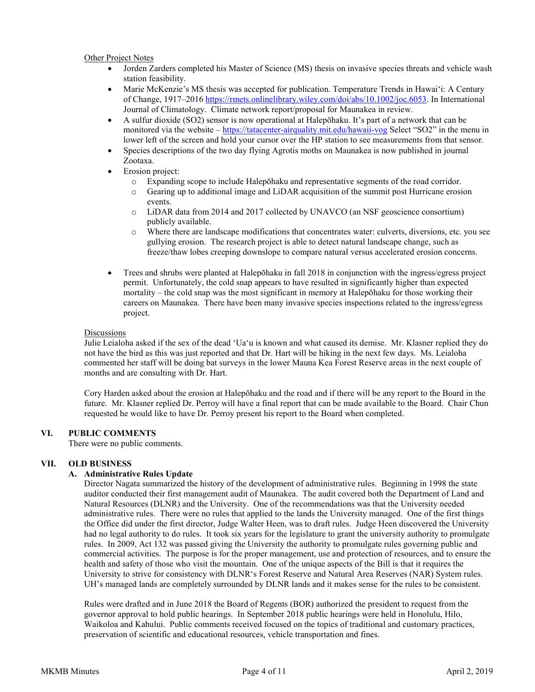## Other Project Notes

- Jorden Zarders completed his Master of Science (MS) thesis on invasive species threats and vehicle wash station feasibility.
- Marie McKenzie's MS thesis was accepted for publication. Temperature Trends in Hawai'i: A Century of Change, 1917–2016 <https://rmets.onlinelibrary.wiley.com/doi/abs/10.1002/joc.6053>. In International Journal of Climatology. Climate network report/proposal for Maunakea in review.
- A sulfur dioxide (SO2) sensor is now operational at Halepōhaku. It's part of a network that can be monitored via the website – https://tatacenter-[airquality.mit.edu/hawaii](https://tatacenter-airquality.mit.edu/hawaii-vog)-vog Select "SO2" in the menu in lower left of the screen and hold your cursor over the HP station to see measurements from that sensor.
- Species descriptions of the two day flying Agrotis moths on Maunakea is now published in journal Zootaxa.
- Erosion project:
	- o Expanding scope to include Halepōhaku and representative segments of the road corridor.
	- o Gearing up to additional image and LiDAR acquisition of the summit post Hurricane erosion events.
	- o LiDAR data from 2014 and 2017 collected by UNAVCO (an NSF geoscience consortium) publicly available.
	- o Where there are landscape modifications that concentrates water: culverts, diversions, etc. you see gullying erosion. The research project is able to detect natural landscape change, such as freeze/thaw lobes creeping downslope to compare natural versus accelerated erosion concerns.
- Trees and shrubs were planted at Halepōhaku in fall 2018 in conjunction with the ingress/egress project permit. Unfortunately, the cold snap appears to have resulted in significantly higher than expected mortality – the cold snap was the most significant in memory at Halepōhaku for those working their careers on Maunakea. There have been many invasive species inspections related to the ingress/egress project.

### **Discussions**

Julie Leialoha asked if the sex of the dead ʻUaʻu is known and what caused its demise. Mr. Klasner replied they do not have the bird as this was just reported and that Dr. Hart will be hiking in the next few days. Ms. Leialoha commented her staff will be doing bat surveys in the lower Mauna Kea Forest Reserve areas in the next couple of months and are consulting with Dr. Hart.

Cory Harden asked about the erosion at Halepōhaku and the road and if there will be any report to the Board in the future. Mr. Klasner replied Dr. Perroy will have a final report that can be made available to the Board. Chair Chun requested he would like to have Dr. Perroy present his report to the Board when completed.

## **VI. PUBLIC COMMENTS**

There were no public comments.

## **VII. OLD BUSINESS**

## **A. Administrative Rules Update**

Director Nagata summarized the history of the development of administrative rules. Beginning in 1998 the state auditor conducted their first management audit of Maunakea. The audit covered both the Department of Land and Natural Resources (DLNR) and the University. One of the recommendations was that the University needed administrative rules. There were no rules that applied to the lands the University managed. One of the first things the Office did under the first director, Judge Walter Heen, was to draft rules. Judge Heen discovered the University had no legal authority to do rules. It took six years for the legislature to grant the university authority to promulgate rules. In 2009, Act 132 was passed giving the University the authority to promulgate rules governing public and commercial activities. The purpose is for the proper management, use and protection of resources, and to ensure the health and safety of those who visit the mountain. One of the unique aspects of the Bill is that it requires the University to strive for consistency with DLNRʻs Forest Reserve and Natural Area Reserves (NAR) System rules. UH's managed lands are completely surrounded by DLNR lands and it makes sense for the rules to be consistent.

Rules were drafted and in June 2018 the Board of Regents (BOR) authorized the president to request from the governor approval to hold public hearings. In September 2018 public hearings were held in Honolulu, Hilo, Waikoloa and Kahului. Public comments received focused on the topics of traditional and customary practices, preservation of scientific and educational resources, vehicle transportation and fines.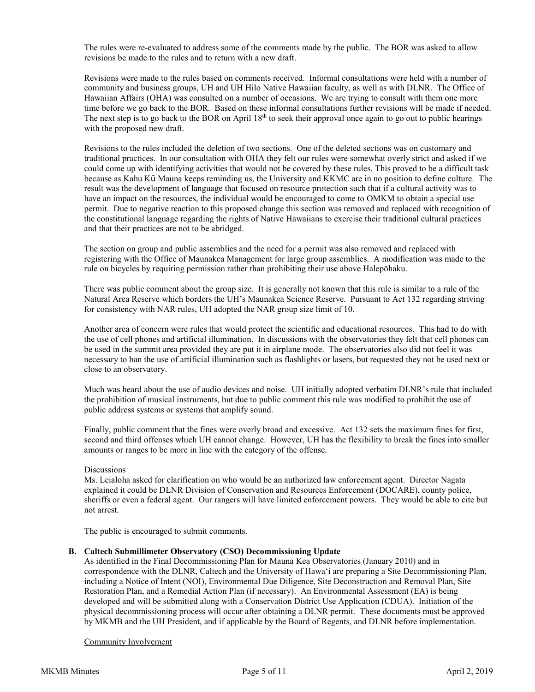The rules were re-evaluated to address some of the comments made by the public. The BOR was asked to allow revisions be made to the rules and to return with a new draft.

Revisions were made to the rules based on comments received. Informal consultations were held with a number of community and business groups, UH and UH Hilo Native Hawaiian faculty, as well as with DLNR. The Office of Hawaiian Affairs (OHA) was consulted on a number of occasions. We are trying to consult with them one more time before we go back to the BOR. Based on these informal consultations further revisions will be made if needed. The next step is to go back to the BOR on April 18<sup>th</sup> to seek their approval once again to go out to public hearings with the proposed new draft.

Revisions to the rules included the deletion of two sections. One of the deleted sections was on customary and traditional practices. In our consultation with OHA they felt our rules were somewhat overly strict and asked if we could come up with identifying activities that would not be covered by these rules. This proved to be a difficult task because as Kahu Kū Mauna keeps reminding us, the University and KKMC are in no position to define culture. The result was the development of language that focused on resource protection such that if a cultural activity was to have an impact on the resources, the individual would be encouraged to come to OMKM to obtain a special use permit. Due to negative reaction to this proposed change this section was removed and replaced with recognition of the constitutional language regarding the rights of Native Hawaiians to exercise their traditional cultural practices and that their practices are not to be abridged.

The section on group and public assemblies and the need for a permit was also removed and replaced with registering with the Office of Maunakea Management for large group assemblies. A modification was made to the rule on bicycles by requiring permission rather than prohibiting their use above Halepōhaku.

There was public comment about the group size. It is generally not known that this rule is similar to a rule of the Natural Area Reserve which borders the UH's Maunakea Science Reserve. Pursuant to Act 132 regarding striving for consistency with NAR rules, UH adopted the NAR group size limit of 10.

Another area of concern were rules that would protect the scientific and educational resources. This had to do with the use of cell phones and artificial illumination. In discussions with the observatories they felt that cell phones can be used in the summit area provided they are put it in airplane mode. The observatories also did not feel it was necessary to ban the use of artificial illumination such as flashlights or lasers, but requested they not be used next or close to an observatory.

Much was heard about the use of audio devices and noise. UH initially adopted verbatim DLNR's rule that included the prohibition of musical instruments, but due to public comment this rule was modified to prohibit the use of public address systems or systems that amplify sound.

Finally, public comment that the fines were overly broad and excessive. Act 132 sets the maximum fines for first, second and third offenses which UH cannot change. However, UH has the flexibility to break the fines into smaller amounts or ranges to be more in line with the category of the offense.

## **Discussions**

Ms. Leialoha asked for clarification on who would be an authorized law enforcement agent. Director Nagata explained it could be DLNR [Division of Conservation and Resources Enforcement](http://dlnr.hawaii.gov/docare/) (DOCARE), county police, [sheriffs or even a federal agent. Our rangers will have limited](http://dlnr.hawaii.gov/docare/) enforcement powers. They would be able to cite but not [arrest.](http://dlnr.hawaii.gov/docare/)

The public is encouraged to submit comments.

### **B. Caltech Submillimeter Observatory (CSO) Decommissioning Update**

As identified in the Final Decommissioning Plan for Mauna Kea Observatories (January 2010) and in correspondence with the DLNR, Caltech and the University of Hawaʻi are preparing a Site Decommissioning Plan, including a Notice of Intent (NOI), Environmental Due Diligence, Site Deconstruction and Removal Plan, Site Restoration Plan, and a Remedial Action Plan (if necessary). An Environmental Assessment (EA) is being developed and will be submitted along with a Conservation District Use Application (CDUA). Initiation of the physical decommissioning process will occur after obtaining a DLNR permit. These documents must be approved by MKMB and the UH President, and if applicable by the Board of Regents, and DLNR before implementation.

### Community Involvement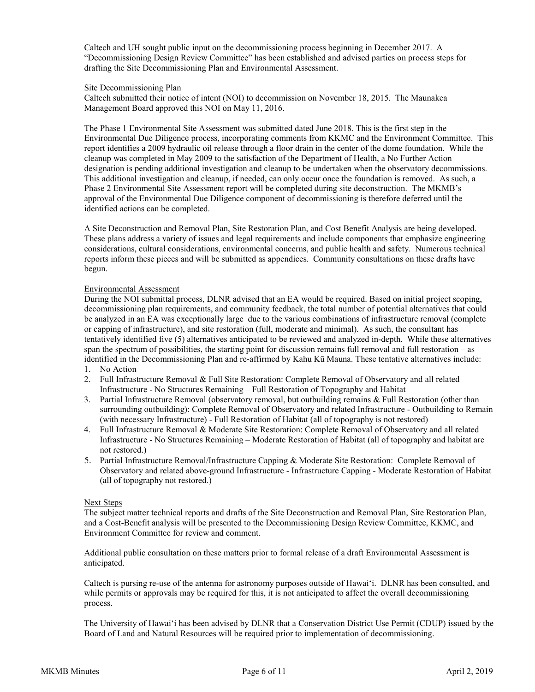Caltech and UH sought public input on the decommissioning process beginning in December 2017. A "Decommissioning Design Review Committee" has been established and advised parties on process steps for drafting the Site Decommissioning Plan and Environmental Assessment.

### Site Decommissioning Plan

Caltech submitted their notice of intent (NOI) to decommission on November 18, 2015. The Maunakea Management Board approved this NOI on May 11, 2016.

The Phase 1 Environmental Site Assessment was submitted dated June 2018. This is the first step in the Environmental Due Diligence process, incorporating comments from KKMC and the Environment Committee. This report identifies a 2009 hydraulic oil release through a floor drain in the center of the dome foundation. While the cleanup was completed in May 2009 to the satisfaction of the Department of Health, a No Further Action designation is pending additional investigation and cleanup to be undertaken when the observatory decommissions. This additional investigation and cleanup, if needed, can only occur once the foundation is removed. As such, a Phase 2 Environmental Site Assessment report will be completed during site deconstruction. The MKMB's approval of the Environmental Due Diligence component of decommissioning is therefore deferred until the identified actions can be completed.

A Site Deconstruction and Removal Plan, Site Restoration Plan, and Cost Benefit Analysis are being developed. These plans address a variety of issues and legal requirements and include components that emphasize engineering considerations, cultural considerations, environmental concerns, and public health and safety. Numerous technical reports inform these pieces and will be submitted as appendices. Community consultations on these drafts have begun.

## Environmental Assessment

During the NOI submittal process, DLNR advised that an EA would be required. Based on initial project scoping, decommissioning plan requirements, and community feedback, the total number of potential alternatives that could be analyzed in an EA was exceptionally large due to the various combinations of infrastructure removal (complete or capping of infrastructure), and site restoration (full, moderate and minimal). As such, the consultant has tentatively identified five (5) alternatives anticipated to be reviewed and analyzed in-depth. While these alternatives span the spectrum of possibilities, the starting point for discussion remains full removal and full restoration – as identified in the Decommissioning Plan and re-affirmed by Kahu Kū Mauna. These tentative alternatives include:

- 1. No Action
- 2. Full Infrastructure Removal & Full Site Restoration: Complete Removal of Observatory and all related Infrastructure - No Structures Remaining – Full Restoration of Topography and Habitat
- 3. Partial Infrastructure Removal (observatory removal, but outbuilding remains & Full Restoration (other than surrounding outbuilding): Complete Removal of Observatory and related Infrastructure - Outbuilding to Remain (with necessary Infrastructure) - Full Restoration of Habitat (all of topography is not restored)
- 4. Full Infrastructure Removal & Moderate Site Restoration: Complete Removal of Observatory and all related Infrastructure - No Structures Remaining – Moderate Restoration of Habitat (all of topography and habitat are not restored.)
- 5. Partial Infrastructure Removal/Infrastructure Capping & Moderate Site Restoration: Complete Removal of Observatory and related above-ground Infrastructure - Infrastructure Capping - Moderate Restoration of Habitat (all of topography not restored.)

### Next Steps

The subject matter technical reports and drafts of the Site Deconstruction and Removal Plan, Site Restoration Plan, and a Cost-Benefit analysis will be presented to the Decommissioning Design Review Committee, KKMC, and Environment Committee for review and comment.

Additional public consultation on these matters prior to formal release of a draft Environmental Assessment is anticipated.

Caltech is pursing re-use of the antenna for astronomy purposes outside of Hawaiʻi. DLNR has been consulted, and while permits or approvals may be required for this, it is not anticipated to affect the overall decommissioning process.

The University of Hawaiʻi has been advised by DLNR that a Conservation District Use Permit (CDUP) issued by the Board of Land and Natural Resources will be required prior to implementation of decommissioning.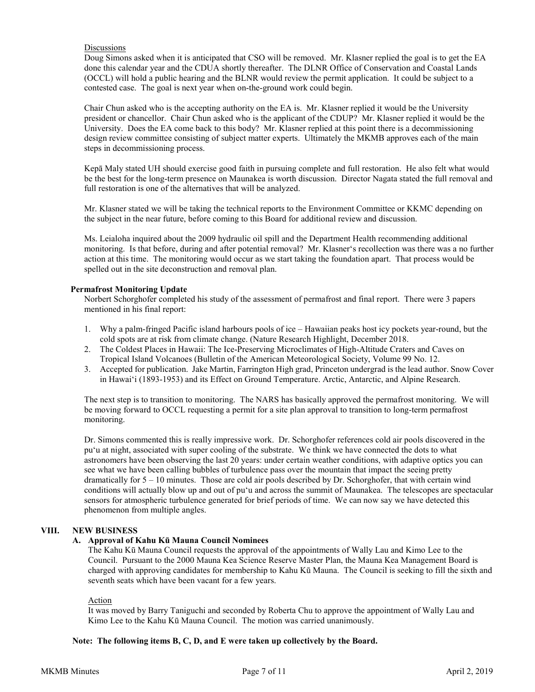## **Discussions**

Doug Simons asked when it is anticipated that CSO will be removed. Mr. Klasner replied the goal is to get the EA done this calendar year and the CDUA shortly thereafter. The DLNR Office of Conservation and Coastal Lands (OCCL) will hold a public hearing and the BLNR would review the permit application. It could be subject to a contested case. The goal is next year when on-the-ground work could begin.

Chair Chun asked who is the accepting authority on the EA is. Mr. Klasner replied it would be the University president or chancellor. Chair Chun asked who is the applicant of the CDUP? Mr. Klasner replied it would be the University. Does the EA come back to this body? Mr. Klasner replied at this point there is a decommissioning design review committee consisting of subject matter experts. Ultimately the MKMB approves each of the main steps in decommissioning process.

Kepā Maly stated UH should exercise good faith in pursuing complete and full restoration. He also felt what would be the best for the long-term presence on Maunakea is worth discussion. Director Nagata stated the full removal and full restoration is one of the alternatives that will be analyzed.

Mr. Klasner stated we will be taking the technical reports to the Environment Committee or KKMC depending on the subject in the near future, before coming to this Board for additional review and discussion.

Ms. Leialoha inquired about the 2009 hydraulic oil spill and the Department Health recommending additional monitoring. Is that before, during and after potential removal? Mr. Klasnerʻs recollection was there was a no further action at this time. The monitoring would occur as we start taking the foundation apart. That process would be spelled out in the site deconstruction and removal plan.

### **Permafrost Monitoring Update**

Norbert Schorghofer completed his study of the assessment of permafrost and final report. There were 3 papers mentioned in his final report:

- 1. Why a palm-fringed Pacific island harbours pools of ice Hawaiian peaks host icy pockets year-round, but the cold spots are at risk from climate change. (Nature Research Highlight, December 2018.
- 2. The Coldest Places in Hawaii: The Ice-Preserving Microclimates of High-Altitude Craters and Caves on Tropical Island Volcanoes (Bulletin of the American Meteorological Society, Volume 99 No. 12.
- 3. Accepted for publication. Jake Martin, Farrington High grad, Princeton undergrad is the lead author. Snow Cover in Hawai'i (1893-1953) and its Effect on Ground Temperature. Arctic, Antarctic, and Alpine Research.

The next step is to transition to monitoring. The NARS has basically approved the permafrost monitoring. We will be moving forward to OCCL requesting a permit for a site plan approval to transition to long-term permafrost monitoring.

Dr. Simons commented this is really impressive work. Dr. Schorghofer references cold air pools discovered in the pu'u at night, associated with super cooling of the substrate. We think we have connected the dots to what astronomers have been observing the last 20 years: under certain weather conditions, with adaptive optics you can see what we have been calling bubbles of turbulence pass over the mountain that impact the seeing pretty dramatically for 5 – 10 minutes. Those are cold air pools described by Dr. Schorghofer, that with certain wind conditions will actually blow up and out of pu'u and across the summit of Maunakea. The telescopes are spectacular sensors for atmospheric turbulence generated for brief periods of time. We can now say we have detected this phenomenon from multiple angles.

## **VIII. NEW BUSINESS**

## **A. Approval of Kahu Kū Mauna Council Nominees**

The Kahu Kū Mauna Council requests the approval of the appointments of Wally Lau and Kimo Lee to the Council. Pursuant to the 2000 Mauna Kea Science Reserve Master Plan, the Mauna Kea Management Board is charged with approving candidates for membership to Kahu Kū Mauna. The Council is seeking to fill the sixth and seventh seats which have been vacant for a few years.

### Action

It was moved by Barry Taniguchi and seconded by Roberta Chu to approve the appointment of Wally Lau and Kimo Lee to the Kahu Kū Mauna Council. The motion was carried unanimously.

### **Note: The following items B, C, D, and E were taken up collectively by the Board.**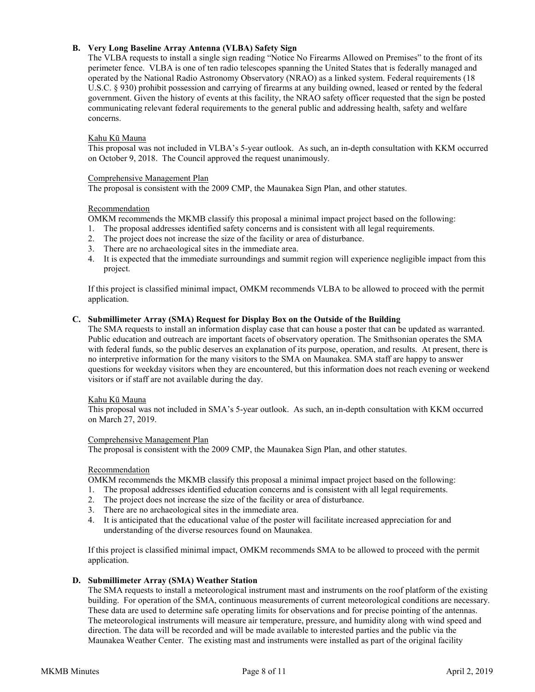## **B. Very Long Baseline Array Antenna (VLBA) Safety Sign**

The VLBA requests to install a single sign reading "Notice No Firearms Allowed on Premises" to the front of its perimeter fence. VLBA is one of ten radio telescopes spanning the United States that is federally managed and operated by the National Radio Astronomy Observatory (NRAO) as a linked system. Federal requirements (18 U.S.C. § 930) prohibit possession and carrying of firearms at any building owned, leased or rented by the federal government. Given the history of events at this facility, the NRAO safety officer requested that the sign be posted communicating relevant federal requirements to the general public and addressing health, safety and welfare concerns.

## Kahu Kū Mauna

This proposal was not included in VLBA's 5-year outlook. As such, an in-depth consultation with KKM occurred on October 9, 2018. The Council approved the request unanimously.

### Comprehensive Management Plan

The proposal is consistent with the 2009 CMP, the Maunakea Sign Plan, and other statutes.

### Recommendation

OMKM recommends the MKMB classify this proposal a minimal impact project based on the following:

- 1. The proposal addresses identified safety concerns and is consistent with all legal requirements.
- 2. The project does not increase the size of the facility or area of disturbance.
- 3. There are no archaeological sites in the immediate area.
- 4. It is expected that the immediate surroundings and summit region will experience negligible impact from this project.

If this project is classified minimal impact, OMKM recommends VLBA to be allowed to proceed with the permit application.

### **C. Submillimeter Array (SMA) Request for Display Box on the Outside of the Building**

The SMA requests to install an information display case that can house a poster that can be updated as warranted. Public education and outreach are important facets of observatory operation. The Smithsonian operates the SMA with federal funds, so the public deserves an explanation of its purpose, operation, and results. At present, there is no interpretive information for the many visitors to the SMA on Maunakea. SMA staff are happy to answer questions for weekday visitors when they are encountered, but this information does not reach evening or weekend visitors or if staff are not available during the day.

### Kahu Kū Mauna

This proposal was not included in SMA's 5-year outlook. As such, an in-depth consultation with KKM occurred on March 27, 2019.

### Comprehensive Management Plan

The proposal is consistent with the 2009 CMP, the Maunakea Sign Plan, and other statutes.

### Recommendation

OMKM recommends the MKMB classify this proposal a minimal impact project based on the following:

- 1. The proposal addresses identified education concerns and is consistent with all legal requirements.
- 2. The project does not increase the size of the facility or area of disturbance.
- 3. There are no archaeological sites in the immediate area.
- 4. It is anticipated that the educational value of the poster will facilitate increased appreciation for and understanding of the diverse resources found on Maunakea.

If this project is classified minimal impact, OMKM recommends SMA to be allowed to proceed with the permit application.

### **D. Submillimeter Array (SMA) Weather Station**

The SMA requests to install a meteorological instrument mast and instruments on the roof platform of the existing building. For operation of the SMA, continuous measurements of current meteorological conditions are necessary. These data are used to determine safe operating limits for observations and for precise pointing of the antennas. The meteorological instruments will measure air temperature, pressure, and humidity along with wind speed and direction. The data will be recorded and will be made available to interested parties and the public via the Maunakea Weather Center. The existing mast and instruments were installed as part of the original facility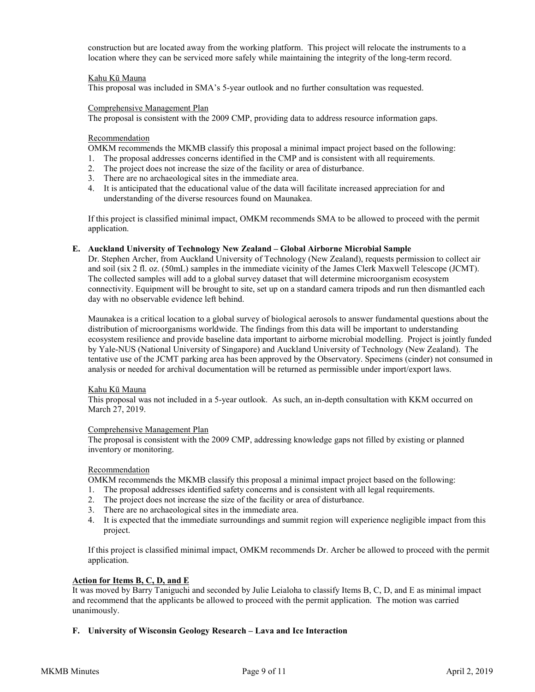construction but are located away from the working platform. This project will relocate the instruments to a location where they can be serviced more safely while maintaining the integrity of the long-term record.

### Kahu Kū Mauna

This proposal was included in SMA's 5-year outlook and no further consultation was requested.

### Comprehensive Management Plan

The proposal is consistent with the 2009 CMP, providing data to address resource information gaps.

### Recommendation

OMKM recommends the MKMB classify this proposal a minimal impact project based on the following:

- 1. The proposal addresses concerns identified in the CMP and is consistent with all requirements.
- 2. The project does not increase the size of the facility or area of disturbance.
- 3. There are no archaeological sites in the immediate area.
- 4. It is anticipated that the educational value of the data will facilitate increased appreciation for and understanding of the diverse resources found on Maunakea.

If this project is classified minimal impact, OMKM recommends SMA to be allowed to proceed with the permit application.

### **E. Auckland University of Technology New Zealand – Global Airborne Microbial Sample**

Dr. Stephen Archer, from Auckland University of Technology (New Zealand), requests permission to collect air and soil (six 2 fl. oz. (50mL) samples in the immediate vicinity of the James Clerk Maxwell Telescope (JCMT). The collected samples will add to a global survey dataset that will determine microorganism ecosystem connectivity. Equipment will be brought to site, set up on a standard camera tripods and run then dismantled each day with no observable evidence left behind.

Maunakea is a critical location to a global survey of biological aerosols to answer fundamental questions about the distribution of microorganisms worldwide. The findings from this data will be important to understanding ecosystem resilience and provide baseline data important to airborne microbial modelling. Project is jointly funded by Yale-NUS (National University of Singapore) and Auckland University of Technology (New Zealand). The tentative use of the JCMT parking area has been approved by the Observatory. Specimens (cinder) not consumed in analysis or needed for archival documentation will be returned as permissible under import/export laws.

## Kahu Kū Mauna

This proposal was not included in a 5-year outlook. As such, an in-depth consultation with KKM occurred on March 27, 2019.

### Comprehensive Management Plan

The proposal is consistent with the 2009 CMP, addressing knowledge gaps not filled by existing or planned inventory or monitoring.

### Recommendation

OMKM recommends the MKMB classify this proposal a minimal impact project based on the following:

- 1. The proposal addresses identified safety concerns and is consistent with all legal requirements.
- 2. The project does not increase the size of the facility or area of disturbance.
- 3. There are no archaeological sites in the immediate area.
- 4. It is expected that the immediate surroundings and summit region will experience negligible impact from this project.

If this project is classified minimal impact, OMKM recommends Dr. Archer be allowed to proceed with the permit application.

### **Action for Items B, C, D, and E**

It was moved by Barry Taniguchi and seconded by Julie Leialoha to classify Items B, C, D, and E as minimal impact and recommend that the applicants be allowed to proceed with the permit application. The motion was carried unanimously.

### **F. University of Wisconsin Geology Research – Lava and Ice Interaction**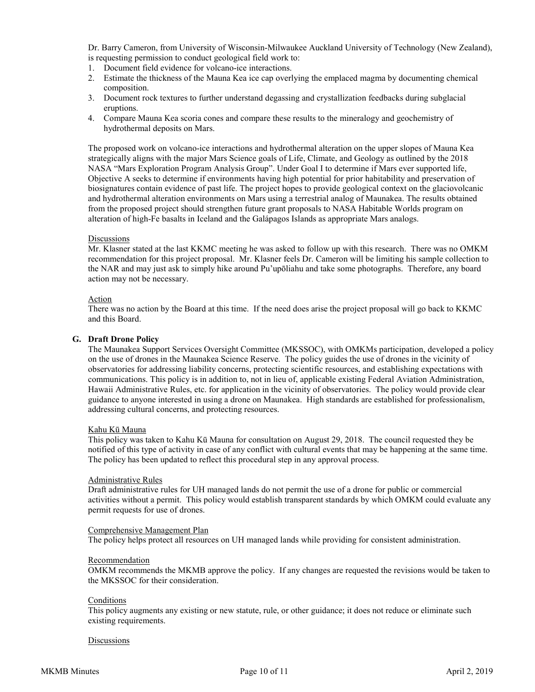Dr. Barry Cameron, from University of Wisconsin-Milwaukee Auckland University of Technology (New Zealand), is requesting permission to conduct geological field work to:

- 1. Document field evidence for volcano-ice interactions.
- 2. Estimate the thickness of the Mauna Kea ice cap overlying the emplaced magma by documenting chemical composition.
- 3. Document rock textures to further understand degassing and crystallization feedbacks during subglacial eruptions.
- 4. Compare Mauna Kea scoria cones and compare these results to the mineralogy and geochemistry of hydrothermal deposits on Mars.

The proposed work on volcano-ice interactions and hydrothermal alteration on the upper slopes of Mauna Kea strategically aligns with the major Mars Science goals of Life, Climate, and Geology as outlined by the 2018 NASA "Mars Exploration Program Analysis Group". Under Goal I to determine if Mars ever supported life, Objective A seeks to determine if environments having high potential for prior habitability and preservation of biosignatures contain evidence of past life. The project hopes to provide geological context on the glaciovolcanic and hydrothermal alteration environments on Mars using a terrestrial analog of Maunakea. The results obtained from the proposed project should strengthen future grant proposals to NASA Habitable Worlds program on alteration of high-Fe basalts in Iceland and the Galápagos Islands as appropriate Mars analogs.

### Discussions

Mr. Klasner stated at the last KKMC meeting he was asked to follow up with this research. There was no OMKM recommendation for this project proposal. Mr. Klasner feels Dr. Cameron will be limiting his sample collection to the NAR and may just ask to simply hike around Pu'upōliahu and take some photographs. Therefore, any board action may not be necessary.

### Action

There was no action by the Board at this time. If the need does arise the project proposal will go back to KKMC and this Board.

### **G. Draft Drone Policy**

The Maunakea Support Services Oversight Committee (MKSSOC), with OMKMs participation, developed a policy on the use of drones in the Maunakea Science Reserve. The policy guides the use of drones in the vicinity of observatories for addressing liability concerns, protecting scientific resources, and establishing expectations with communications. This policy is in addition to, not in lieu of, applicable existing Federal Aviation Administration, Hawaii Administrative Rules, etc. for application in the vicinity of observatories. The policy would provide clear guidance to anyone interested in using a drone on Maunakea. High standards are established for professionalism, addressing cultural concerns, and protecting resources.

### Kahu Kū Mauna

This policy was taken to Kahu Kū Mauna for consultation on August 29, 2018. The council requested they be notified of this type of activity in case of any conflict with cultural events that may be happening at the same time. The policy has been updated to reflect this procedural step in any approval process.

### Administrative Rules

Draft administrative rules for UH managed lands do not permit the use of a drone for public or commercial activities without a permit. This policy would establish transparent standards by which OMKM could evaluate any permit requests for use of drones.

### Comprehensive Management Plan

The policy helps protect all resources on UH managed lands while providing for consistent administration.

### Recommendation

OMKM recommends the MKMB approve the policy. If any changes are requested the revisions would be taken to the MKSSOC for their consideration.

## **Conditions**

This policy augments any existing or new statute, rule, or other guidance; it does not reduce or eliminate such existing requirements.

### **Discussions**